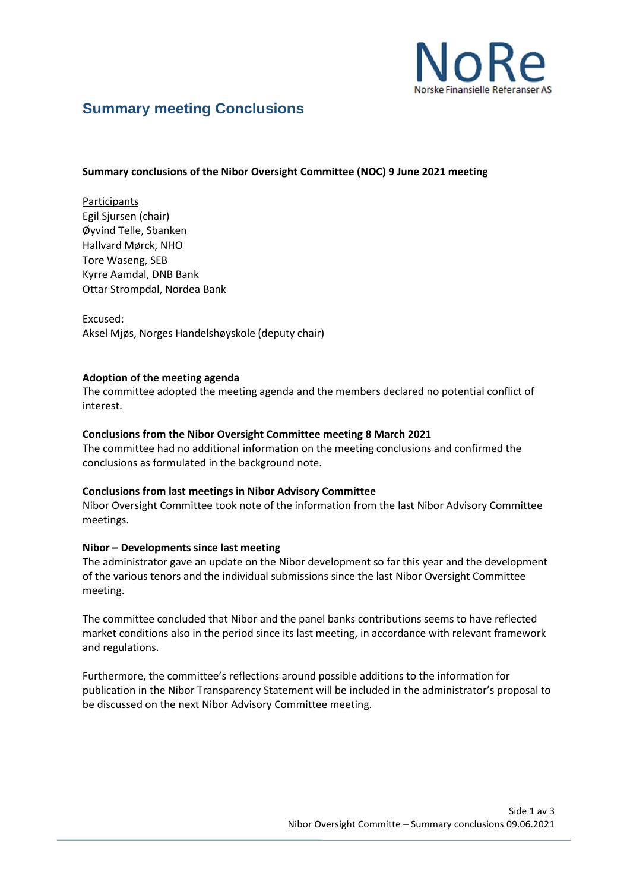

# **Summary meeting Conclusions**

### **Summary conclusions of the Nibor Oversight Committee (NOC) 9 June 2021 meeting**

Participants Egil Sjursen (chair) Øyvind Telle, Sbanken Hallvard Mørck, NHO Tore Waseng, SEB Kyrre Aamdal, DNB Bank Ottar Strompdal, Nordea Bank

Excused: Aksel Mjøs, Norges Handelshøyskole (deputy chair)

#### **Adoption of the meeting agenda**

The committee adopted the meeting agenda and the members declared no potential conflict of interest.

## **Conclusions from the Nibor Oversight Committee meeting 8 March 2021**

The committee had no additional information on the meeting conclusions and confirmed the conclusions as formulated in the background note.

#### **Conclusions from last meetings in Nibor Advisory Committee**

Nibor Oversight Committee took note of the information from the last Nibor Advisory Committee meetings.

#### **Nibor – Developments since last meeting**

The administrator gave an update on the Nibor development so far this year and the development of the various tenors and the individual submissions since the last Nibor Oversight Committee meeting.

The committee concluded that Nibor and the panel banks contributions seems to have reflected market conditions also in the period since its last meeting, in accordance with relevant framework and regulations.

Furthermore, the committee's reflections around possible additions to the information for publication in the Nibor Transparency Statement will be included in the administrator's proposal to be discussed on the next Nibor Advisory Committee meeting.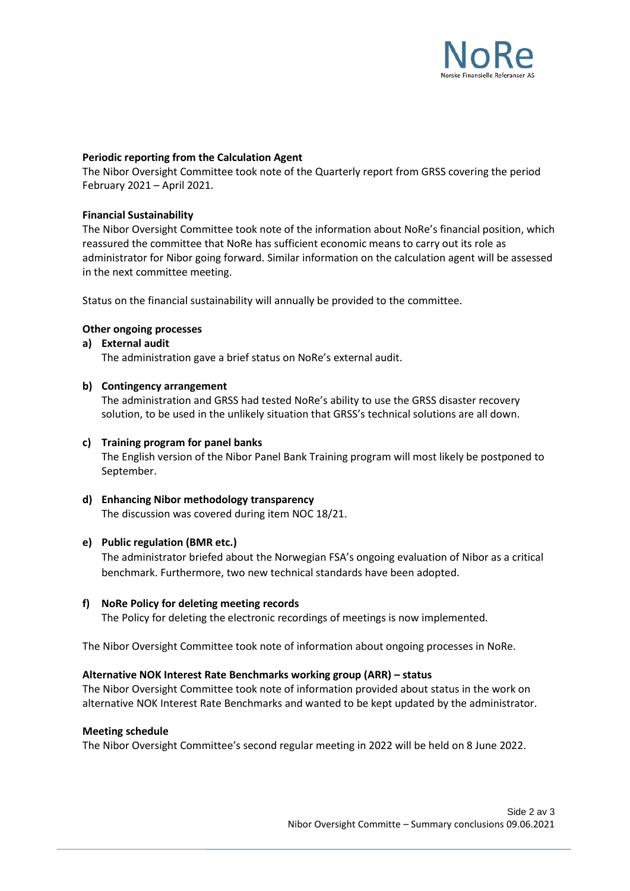

### **Periodic reporting from the Calculation Agent**

The Nibor Oversight Committee took note of the Quarterly report from GRSS covering the period February 2021 – April 2021.

#### **Financial Sustainability**

The Nibor Oversight Committee took note of the information about NoRe's financial position, which reassured the committee that NoRe has sufficient economic means to carry out its role as administrator for Nibor going forward. Similar information on the calculation agent will be assessed in the next committee meeting.

Status on the financial sustainability will annually be provided to the committee.

## **Other ongoing processes**

## **a) External audit**

The administration gave a brief status on NoRe's external audit.

## **b) Contingency arrangement**

The administration and GRSS had tested NoRe's ability to use the GRSS disaster recovery solution, to be used in the unlikely situation that GRSS's technical solutions are all down.

## **c) Training program for panel banks**

The English version of the Nibor Panel Bank Training program will most likely be postponed to September.

# **d) Enhancing Nibor methodology transparency**

The discussion was covered during item NOC 18/21.

## **e) Public regulation (BMR etc.)**

The administrator briefed about the Norwegian FSA's ongoing evaluation of Nibor as a critical benchmark. Furthermore, two new technical standards have been adopted.

#### **f) NoRe Policy for deleting meeting records**

The Policy for deleting the electronic recordings of meetings is now implemented.

The Nibor Oversight Committee took note of information about ongoing processes in NoRe.

#### **Alternative NOK Interest Rate Benchmarks working group (ARR) – status**

The Nibor Oversight Committee took note of information provided about status in the work on alternative NOK Interest Rate Benchmarks and wanted to be kept updated by the administrator.

#### **Meeting schedule**

The Nibor Oversight Committee's second regular meeting in 2022 will be held on 8 June 2022.